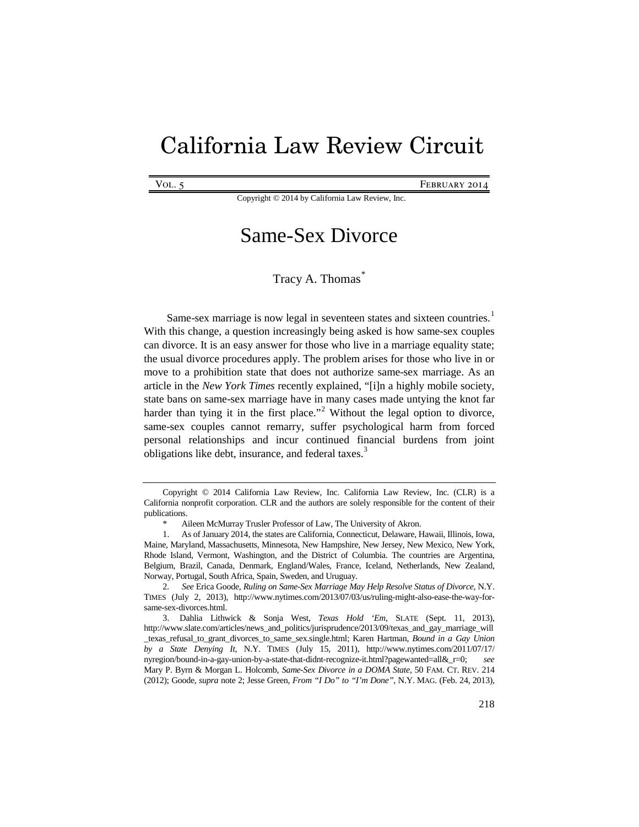# California Law Review Circuit

VOL. 5 **FEBRUARY 2014** 

Copyright © 2014 by California Law Review, Inc.

# Same-Sex Divorce

<span id="page-0-5"></span><span id="page-0-0"></span>Tracy A. Thomas<sup>[\\*](#page-0-1)</sup>

Same-sex marriage is now legal in seventeen states and sixteen countries.<sup>[1](#page-0-2)</sup> With this change, a question increasingly being asked is how same-sex couples can divorce. It is an easy answer for those who live in a marriage equality state; the usual divorce procedures apply. The problem arises for those who live in or move to a prohibition state that does not authorize same-sex marriage. As an article in the *New York Times* recently explained, "[i]n a highly mobile society, state bans on same-sex marriage have in many cases made untying the knot far harder than tying it in the first place."<sup>[2](#page-0-3)</sup> Without the legal option to divorce, same-sex couples cannot remarry, suffer psychological harm from forced personal relationships and incur continued financial burdens from joint obligations like debt, insurance, and federal taxes.<sup>[3](#page-0-4)</sup>

<span id="page-0-1"></span>Copyright © 2014 California Law Review, Inc. California Law Review, Inc. (CLR) is a California nonprofit corporation. CLR and the authors are solely responsible for the content of their publications.

Aileen McMurray Trusler Professor of Law, The University of Akron.

<span id="page-0-2"></span><sup>1.</sup> As of January 2014, the states are California, Connecticut, Delaware, Hawaii, Illinois, Iowa, Maine, Maryland, Massachusetts, Minnesota, New Hampshire, New Jersey, New Mexico, New York, Rhode Island, Vermont, Washington, and the District of Columbia. The countries are Argentina, Belgium, Brazil, Canada, Denmark, England/Wales, France, Iceland, Netherlands, New Zealand, Norway, Portugal, South Africa, Spain, Sweden, and Uruguay.

<span id="page-0-3"></span><sup>2</sup>*. See* Erica Goode, *Ruling on Same-Sex Marriage May Help Resolve Status of Divorce*, N.Y. TIMES (July 2, 2013), http://www.nytimes.com/2013/07/03/us/ruling-might-also-ease-the-way-forsame-sex-divorces.html.

<span id="page-0-4"></span><sup>3.</sup> Dahlia Lithwick & Sonja West, *Texas Hold 'Em*, SLATE (Sept. 11, 2013), http://www.slate.com/articles/news\_and\_politics/jurisprudence/2013/09/texas\_and\_gay\_marriage\_will \_texas\_refusal\_to\_grant\_divorces\_to\_same\_sex.single.html; Karen Hartman, *Bound in a Gay Union by a State Denying It*, N.Y. TIMES (July 15, 2011), http://www.nytimes.com/2011/07/17/ nyregion/bound-in-a-gay-union-by-a-state-that-didnt-recognize-it.html?pagewanted=all&\_r=0; *see* Mary P. Byrn & Morgan L. Holcomb, *Same-Sex Divorce in a DOMA State*, 50 FAM. CT. REV. 214 (2012); Goode, *supra* not[e 2;](#page-0-0) Jesse Green, *From "I Do" to "I'm Done"*, N.Y. MAG. (Feb. 24, 2013),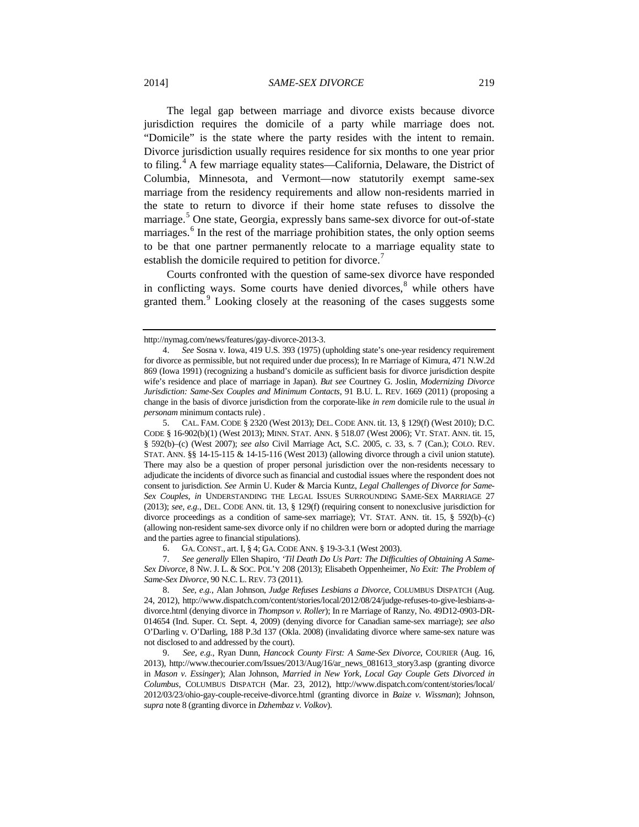The legal gap between marriage and divorce exists because divorce jurisdiction requires the domicile of a party while marriage does not. "Domicile" is the state where the party resides with the intent to remain. Divorce jurisdiction usually requires residence for six months to one year prior to filing.[4](#page-1-1) A few marriage equality states—California, Delaware, the District of Columbia, Minnesota, and Vermont—now statutorily exempt same-sex marriage from the residency requirements and allow non-residents married in the state to return to divorce if their home state refuses to dissolve the marriage.<sup>[5](#page-1-2)</sup> One state, Georgia, expressly bans same-sex divorce for out-of-state marriages.<sup>[6](#page-1-3)</sup> In the rest of the marriage prohibition states, the only option seems to be that one partner permanently relocate to a marriage equality state to establish the domicile required to petition for divorce.<sup>[7](#page-1-4)</sup>

<span id="page-1-0"></span>Courts confronted with the question of same-sex divorce have responded in conflicting ways. Some courts have denied divorces, $<sup>8</sup>$  $<sup>8</sup>$  $<sup>8</sup>$  while others have</sup> granted them.<sup>[9](#page-1-6)</sup> Looking closely at the reasoning of the cases suggests some

http://nymag.com/news/features/gay-divorce-2013-3.

<span id="page-1-1"></span><sup>4.</sup> *See* Sosna v. Iowa, 419 U.S. 393 (1975) (upholding state's one-year residency requirement for divorce as permissible, but not required under due process); In re Marriage of Kimura, 471 N.W.2d 869 (Iowa 1991) (recognizing a husband's domicile as sufficient basis for divorce jurisdiction despite wife's residence and place of marriage in Japan). *But see* Courtney G. Joslin, *Modernizing Divorce Jurisdiction: Same-Sex Couples and Minimum Contacts*, 91 B.U. L. REV. 1669 (2011) (proposing a change in the basis of divorce jurisdiction from the corporate-like *in rem* domicile rule to the usual *in personam* minimum contacts rule) .

<span id="page-1-2"></span><sup>5.</sup> CAL. FAM. CODE § 2320 (West 2013); DEL. CODE ANN. tit. 13, § 129(f) (West 2010); D.C. CODE § 16-902(b)(1) (West 2013); MINN. STAT. ANN. § 518.07 (West 2006); VT. STAT. ANN. tit. 15, § 592(b)–(c) (West 2007); *see also* Civil Marriage Act, S.C. 2005, c. 33, s. 7 (Can.); COLO. REV. STAT. ANN. §§ 14-15-115 & 14-15-116 (West 2013) (allowing divorce through a civil union statute). There may also be a question of proper personal jurisdiction over the non-residents necessary to adjudicate the incidents of divorce such as financial and custodial issues where the respondent does not consent to jurisdiction. *See* Armin U. Kuder & Marcia Kuntz, *Legal Challenges of Divorce for Same-Sex Couples*, *in* UNDERSTANDING THE LEGAL ISSUES SURROUNDING SAME-SEX MARRIAGE 27 (2013); *see, e.g.*, DEL. CODE ANN. tit. 13, § 129(f) (requiring consent to nonexclusive jurisdiction for divorce proceedings as a condition of same-sex marriage); VT. STAT. ANN. tit. 15, § 592(b)–(c) (allowing non-resident same-sex divorce only if no children were born or adopted during the marriage and the parties agree to financial stipulations).

<sup>6.</sup> GA. CONST., art. I, § 4; GA. CODE ANN. § 19-3-3.1 (West 2003).

<span id="page-1-4"></span><span id="page-1-3"></span><sup>7.</sup> *See generally* Ellen Shapiro*, 'Til Death Do Us Part: The Difficulties of Obtaining A Same-Sex Divorce*, 8 NW. J. L. & SOC. POL'Y 208 (2013); Elisabeth Oppenheimer, *No Exit: The Problem of Same-Sex Divorce*, 90 N.C. L. REV. 73 (2011).

<span id="page-1-5"></span><sup>8.</sup> *See, e.g.*, Alan Johnson, *Judge Refuses Lesbians a Divorce*, COLUMBUS DISPATCH (Aug. 24, 2012), http://www.dispatch.com/content/stories/local/2012/08/24/judge-refuses-to-give-lesbians-adivorce.html (denying divorce in *Thompson v. Roller*); In re Marriage of Ranzy, No. 49D12-0903-DR-014654 (Ind. Super. Ct. Sept. 4, 2009) (denying divorce for Canadian same-sex marriage); *see also* O'Darling v. O'Darling, 188 P.3d 137 (Okla. 2008) (invalidating divorce where same-sex nature was not disclosed to and addressed by the court).

<span id="page-1-6"></span><sup>9.</sup> *See, e.g.*, Ryan Dunn, *Hancock County First: A Same-Sex Divorce*, COURIER (Aug. 16, 2013), http://www.thecourier.com/Issues/2013/Aug/16/ar\_news\_081613\_story3.asp (granting divorce in *Mason v. Essinger*); Alan Johnson, *Married in New York, Local Gay Couple Gets Divorced in Columbus*, COLUMBUS DISPATCH (Mar. 23, 2012), http://www.dispatch.com/content/stories/local/ 2012/03/23/ohio-gay-couple-receive-divorce.html (granting divorce in *Baize v. Wissman*); Johnson, *supra* not[e 8](#page-1-0) (granting divorce in *Dzhembaz v. Volkov*).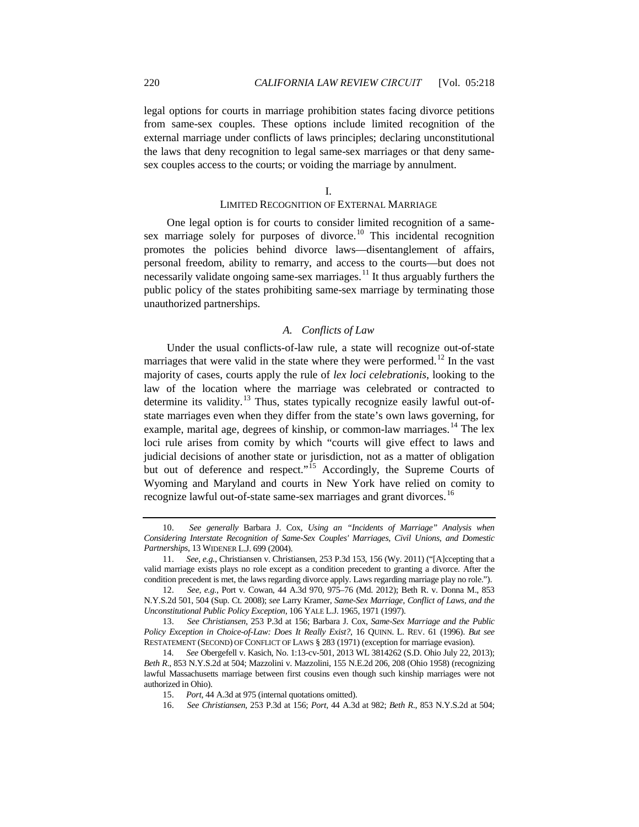legal options for courts in marriage prohibition states facing divorce petitions from same-sex couples. These options include limited recognition of the external marriage under conflicts of laws principles; declaring unconstitutional the laws that deny recognition to legal same-sex marriages or that deny samesex couples access to the courts; or voiding the marriage by annulment.

I.

# LIMITED RECOGNITION OF EXTERNAL MARRIAGE

One legal option is for courts to consider limited recognition of a same-sex marriage solely for purposes of divorce.<sup>[10](#page-2-0)</sup> This incidental recognition promotes the policies behind divorce laws—disentanglement of affairs, personal freedom, ability to remarry, and access to the courts—but does not necessarily validate ongoing same-sex marriages.<sup>[11](#page-2-1)</sup> It thus arguably furthers the public policy of the states prohibiting same-sex marriage by terminating those unauthorized partnerships.

# <span id="page-2-7"></span>*A. Conflicts of Law*

Under the usual conflicts-of-law rule, a state will recognize out-of-state marriages that were valid in the state where they were performed.<sup>[12](#page-2-2)</sup> In the vast majority of cases, courts apply the rule of *lex loci celebrationis*, looking to the law of the location where the marriage was celebrated or contracted to determine its validity.<sup>[13](#page-2-3)</sup> Thus, states typically recognize easily lawful out-ofstate marriages even when they differ from the state's own laws governing, for example, marital age, degrees of kinship, or common-law marriages.<sup>[14](#page-2-4)</sup> The lex loci rule arises from comity by which "courts will give effect to laws and judicial decisions of another state or jurisdiction, not as a matter of obligation but out of deference and respect."<sup>[15](#page-2-5)</sup> Accordingly, the Supreme Courts of Wyoming and Maryland and courts in New York have relied on comity to recognize lawful out-of-state same-sex marriages and grant divorces.<sup>[16](#page-2-6)</sup>

<span id="page-2-0"></span><sup>10.</sup> *See generally* Barbara J. Cox, *Using an "Incidents of Marriage" Analysis when Considering Interstate Recognition of Same-Sex Couples' Marriages, Civil Unions, and Domestic Partnerships*, 13 WIDENER L.J. 699 (2004).

<span id="page-2-1"></span><sup>11.</sup> *See, e.g.*, Christiansen v. Christiansen, 253 P.3d 153, 156 (Wy. 2011) ("[A]ccepting that a valid marriage exists plays no role except as a condition precedent to granting a divorce. After the condition precedent is met, the laws regarding divorce apply. Laws regarding marriage play no role.").

<span id="page-2-2"></span><sup>12.</sup> *See, e.g.*, Port v. Cowan, 44 A.3d 970, 975–76 (Md. 2012); Beth R. v. Donna M., 853 N.Y.S.2d 501, 504 (Sup. Ct. 2008); *see* Larry Kramer, *Same-Sex Marriage, Conflict of Laws, and the Unconstitutional Public Policy Exception*, 106 YALE L.J. 1965, 1971 (1997).

<span id="page-2-3"></span><sup>13.</sup> *See Christiansen*, 253 P.3d at 156; Barbara J. Cox, *Same-Sex Marriage and the Public Policy Exception in Choice-of-Law: Does It Really Exist?*, 16 QUINN. L. REV. 61 (1996). *But see* RESTATEMENT (SECOND) OF CONFLICT OF LAWS § 283 (1971) (exception for marriage evasion).

<span id="page-2-6"></span><span id="page-2-5"></span><span id="page-2-4"></span><sup>14</sup>*. See* Obergefell v. Kasich, No. 1:13-cv-501, 2013 WL 3814262 (S.D. Ohio July 22, 2013); *Beth R*., 853 N.Y.S.2d at 504; Mazzolini v. Mazzolini, 155 N.E.2d 206, 208 (Ohio 1958) (recognizing lawful Massachusetts marriage between first cousins even though such kinship marriages were not authorized in Ohio).

<sup>15.</sup> *Port*, 44 A.3d at 975 (internal quotations omitted).

<sup>16.</sup> *See Christiansen*, 253 P.3d at 156; *Port*, 44 A.3d at 982; *Beth R*., 853 N.Y.S.2d at 504;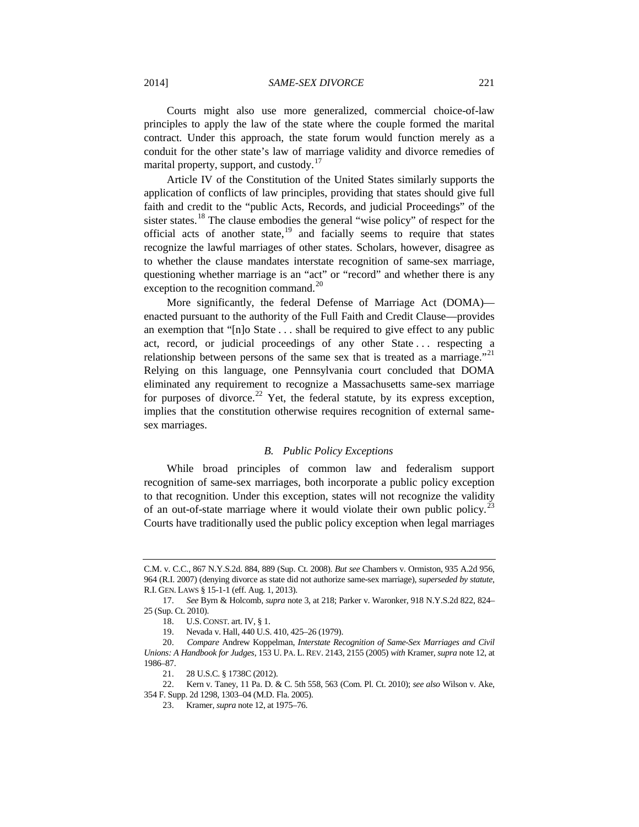Courts might also use more generalized, commercial choice-of-law principles to apply the law of the state where the couple formed the marital contract. Under this approach, the state forum would function merely as a conduit for the other state's law of marriage validity and divorce remedies of marital property, support, and custody.<sup>[17](#page-3-0)</sup>

Article IV of the Constitution of the United States similarly supports the application of conflicts of law principles, providing that states should give full faith and credit to the "public Acts, Records, and judicial Proceedings" of the sister states.<sup>[18](#page-3-1)</sup> The clause embodies the general "wise policy" of respect for the official acts of another state, $19$  and facially seems to require that states recognize the lawful marriages of other states. Scholars, however, disagree as to whether the clause mandates interstate recognition of same-sex marriage, questioning whether marriage is an "act" or "record" and whether there is any exception to the recognition command. $^{20}$  $^{20}$  $^{20}$ 

More significantly, the federal Defense of Marriage Act (DOMA) enacted pursuant to the authority of the Full Faith and Credit Clause—provides an exemption that "[n]o State . . . shall be required to give effect to any public act, record, or judicial proceedings of any other State . . . respecting a relationship between persons of the same sex that is treated as a marriage."<sup>[21](#page-3-4)</sup> Relying on this language, one Pennsylvania court concluded that DOMA eliminated any requirement to recognize a Massachusetts same-sex marriage for purposes of divorce.<sup>[22](#page-3-5)</sup> Yet, the federal statute, by its express exception, implies that the constitution otherwise requires recognition of external samesex marriages.

#### *B. Public Policy Exceptions*

While broad principles of common law and federalism support recognition of same-sex marriages, both incorporate a public policy exception to that recognition. Under this exception, states will not recognize the validity of an out-of-state marriage where it would violate their own public policy.<sup>[23](#page-3-6)</sup> Courts have traditionally used the public policy exception when legal marriages

C.M. v. C.C., 867 N.Y.S.2d. 884, 889 (Sup. Ct. 2008). *But see* Chambers v. Ormiston, 935 A.2d 956, 964 (R.I. 2007) (denying divorce as state did not authorize same-sex marriage), *superseded by statute*, R.I. GEN. LAWS § 15-1-1 (eff. Aug. 1, 2013).

<span id="page-3-0"></span><sup>17.</sup> *See* Byrn & Holcomb, *supra* not[e 3,](#page-0-5) at 218; Parker v. Waronker, 918 N.Y.S.2d 822, 824– 25 (Sup. Ct. 2010).

<sup>18.</sup> U.S. CONST. art. IV, § 1.

<sup>19.</sup> Nevada v. Hall, 440 U.S. 410, 425–26 (1979).

<span id="page-3-3"></span><span id="page-3-2"></span><span id="page-3-1"></span><sup>20.</sup> *Compare* Andrew Koppelman, *Interstate Recognition of Same-Sex Marriages and Civil Unions: A Handbook for Judges*, 153 U. PA. L. REV. 2143, 2155 (2005) *with* Kramer, *supra* note 12, at 1986–87.

<sup>21.</sup> 28 U.S.C. § 1738C (2012).

<span id="page-3-6"></span><span id="page-3-5"></span><span id="page-3-4"></span><sup>22.</sup> Kern v. Taney, 11 Pa. D. & C. 5th 558, 563 (Com. Pl. Ct. 2010); *see also* Wilson v. Ake, 354 F. Supp. 2d 1298, 1303–04 (M.D. Fla. 2005).

<sup>23.</sup> Kramer, *supra* note 12, at 1975–76.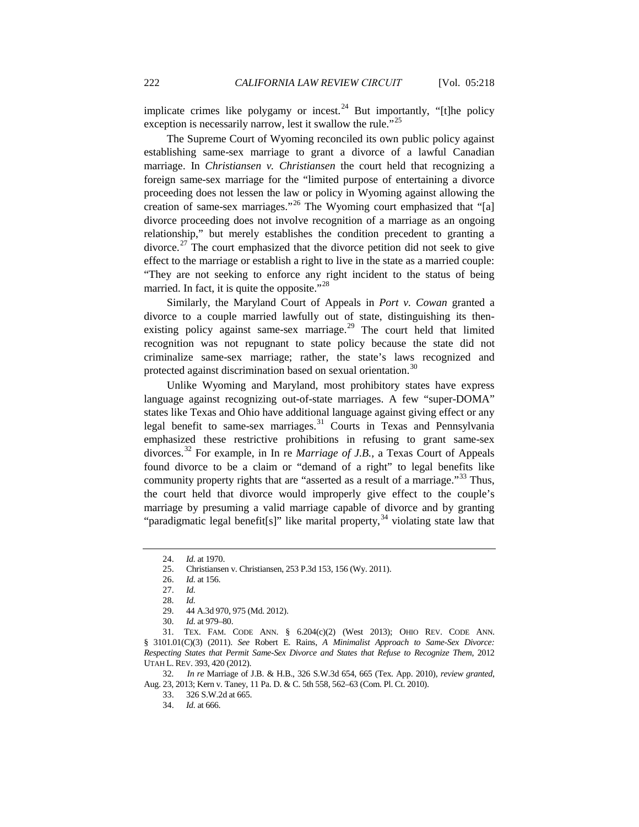implicate crimes like polygamy or incest.<sup>[24](#page-4-0)</sup> But importantly, "[t]he policy exception is necessarily narrow, lest it swallow the rule."<sup>[25](#page-4-1)</sup>

The Supreme Court of Wyoming reconciled its own public policy against establishing same-sex marriage to grant a divorce of a lawful Canadian marriage. In *Christiansen v. Christiansen* the court held that recognizing a foreign same-sex marriage for the "limited purpose of entertaining a divorce proceeding does not lessen the law or policy in Wyoming against allowing the creation of same-sex marriages."<sup>[26](#page-4-2)</sup> The Wyoming court emphasized that "[a] divorce proceeding does not involve recognition of a marriage as an ongoing relationship," but merely establishes the condition precedent to granting a divorce.<sup>[27](#page-4-3)</sup> The court emphasized that the divorce petition did not seek to give effect to the marriage or establish a right to live in the state as a married couple: "They are not seeking to enforce any right incident to the status of being married. In fact, it is quite the opposite."<sup>[28](#page-4-4)</sup>

Similarly, the Maryland Court of Appeals in *Port v. Cowan* granted a divorce to a couple married lawfully out of state, distinguishing its then-existing policy against same-sex marriage.<sup>[29](#page-4-5)</sup> The court held that limited recognition was not repugnant to state policy because the state did not criminalize same-sex marriage; rather, the state's laws recognized and protected against discrimination based on sexual orientation.<sup>[30](#page-4-6)</sup>

<span id="page-4-11"></span>Unlike Wyoming and Maryland, most prohibitory states have express language against recognizing out-of-state marriages. A few "super-DOMA" states like Texas and Ohio have additional language against giving effect or any legal benefit to same-sex marriages.<sup>[31](#page-4-7)</sup> Courts in Texas and Pennsylvania emphasized these restrictive prohibitions in refusing to grant same-sex divorces.[32](#page-4-8) For example, in In re *Marriage of J.B.,* a Texas Court of Appeals found divorce to be a claim or "demand of a right" to legal benefits like community property rights that are "asserted as a result of a marriage."<sup>[33](#page-4-9)</sup> Thus, the court held that divorce would improperly give effect to the couple's marriage by presuming a valid marriage capable of divorce and by granting "paradigmatic legal benefit[s]" like marital property,<sup>[34](#page-4-10)</sup> violating state law that

<span id="page-4-7"></span><span id="page-4-6"></span><span id="page-4-5"></span><span id="page-4-4"></span><span id="page-4-3"></span><span id="page-4-2"></span><span id="page-4-1"></span>31. TEX. FAM. CODE ANN. § 6.204(c)(2) (West 2013); OHIO REV. CODE ANN. § 3101.01(C)(3) (2011). *See* Robert E. Rains, *A Minimalist Approach to Same-Sex Divorce: Respecting States that Permit Same-Sex Divorce and States that Refuse to Recognize Them*, 2012 UTAH L. REV. 393, 420 (2012).

<span id="page-4-10"></span><span id="page-4-9"></span><span id="page-4-8"></span>32*. In re* Marriage of J.B. & H.B., 326 S.W.3d 654, 665 (Tex. App. 2010), *review granted*, Aug. 23, 2013; Kern v. Taney, 11 Pa. D. & C. 5th 558, 562–63 (Com. Pl. Ct. 2010).

33. 326 S.W.2d at 665.

34. *Id.* at 666.

<sup>24.</sup> *Id.* at 1970.

<span id="page-4-0"></span><sup>25.</sup> Christiansen v. Christiansen, 253 P.3d 153, 156 (Wy. 2011).

<sup>26.</sup> *Id.* at 156.

<sup>27.</sup> *Id.*

<sup>28.</sup> *Id.*

<sup>29.</sup> 44 A.3d 970, 975 (Md. 2012).

<sup>30.</sup> *Id.* at 979–80.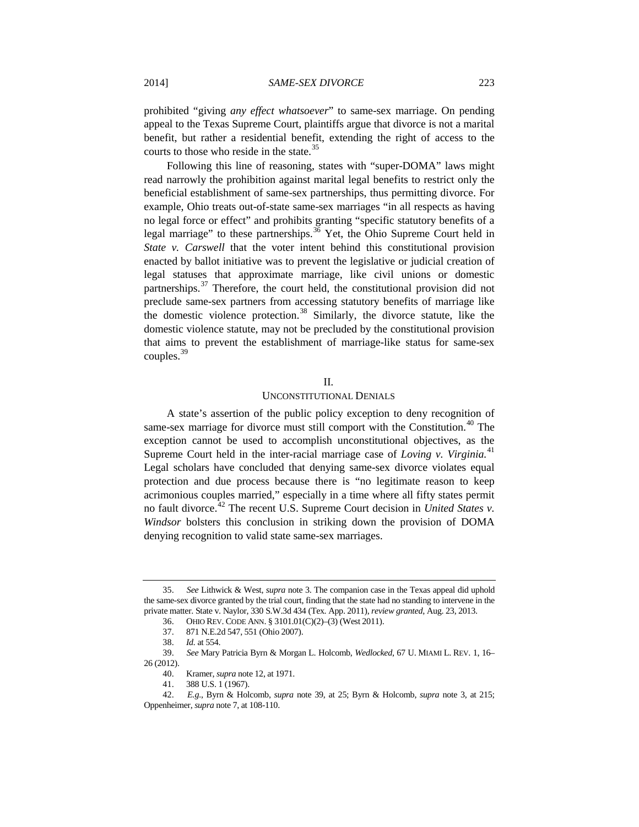prohibited "giving *any effect whatsoever*" to same-sex marriage. On pending appeal to the Texas Supreme Court, plaintiffs argue that divorce is not a marital benefit, but rather a residential benefit, extending the right of access to the courts to those who reside in the state.<sup>[35](#page-5-1)</sup>

Following this line of reasoning, states with "super-DOMA" laws might read narrowly the prohibition against marital legal benefits to restrict only the beneficial establishment of same-sex partnerships, thus permitting divorce. For example, Ohio treats out-of-state same-sex marriages "in all respects as having no legal force or effect" and prohibits granting "specific statutory benefits of a legal marriage" to these partnerships.<sup>[36](#page-5-2)</sup> Yet, the Ohio Supreme Court held in *State v. Carswell* that the voter intent behind this constitutional provision enacted by ballot initiative was to prevent the legislative or judicial creation of legal statuses that approximate marriage, like civil unions or domestic partnerships. $37$  Therefore, the court held, the constitutional provision did not preclude same-sex partners from accessing statutory benefits of marriage like the domestic violence protection.<sup>[38](#page-5-4)</sup> Similarly, the divorce statute, like the domestic violence statute, may not be precluded by the constitutional provision that aims to prevent the establishment of marriage-like status for same-sex couples. $39$ 

#### II.

# UNCONSTITUTIONAL DENIALS

<span id="page-5-0"></span>A state's assertion of the public policy exception to deny recognition of same-sex marriage for divorce must still comport with the Constitution.<sup>[40](#page-5-6)</sup> The exception cannot be used to accomplish unconstitutional objectives, as the Supreme Court held in the inter-racial marriage case of *Loving v. Virginia.*[41](#page-5-7) Legal scholars have concluded that denying same-sex divorce violates equal protection and due process because there is "no legitimate reason to keep acrimonious couples married," especially in a time where all fifty states permit no fault divorce.<sup>[42](#page-5-8)</sup> The recent U.S. Supreme Court decision in *United States v*. *Windsor* bolsters this conclusion in striking down the provision of DOMA denying recognition to valid state same-sex marriages.

<span id="page-5-2"></span><span id="page-5-1"></span><sup>35.</sup> *See* Lithwick & West, *supra* not[e 3.](#page-0-5) The companion case in the Texas appeal did uphold the same-sex divorce granted by the trial court, finding that the state had no standing to intervene in the private matter. State v. Naylor, 330 S.W.3d 434 (Tex. App. 2011), *review granted*, Aug. 23, 2013.

<sup>36.</sup> OHIO REV. CODE ANN. § 3101.01(C)(2)–(3) (West 2011).

<sup>37.</sup> 871 N.E.2d 547, 551 (Ohio 2007).

<sup>38.</sup> *Id.* at 554.

<span id="page-5-5"></span><span id="page-5-4"></span><span id="page-5-3"></span><sup>39.</sup> *See* Mary Patricia Byrn & Morgan L. Holcomb, *Wedlocked*, 67 U. MIAMI L. REV. 1, 16– 26 (2012).

<sup>40.</sup> Kramer, *supra* not[e 12,](#page-2-7) at 1971.

<sup>41.</sup> 388 U.S. 1 (1967).

<span id="page-5-8"></span><span id="page-5-7"></span><span id="page-5-6"></span><sup>42.</sup> *E.g.*, Byrn & Holcomb, *supra* note [39,](#page-5-0) at 25; Byrn & Holcomb, *supra* note [3,](#page-0-5) at 215; Oppenheimer, *supra* note 7, at 108-110.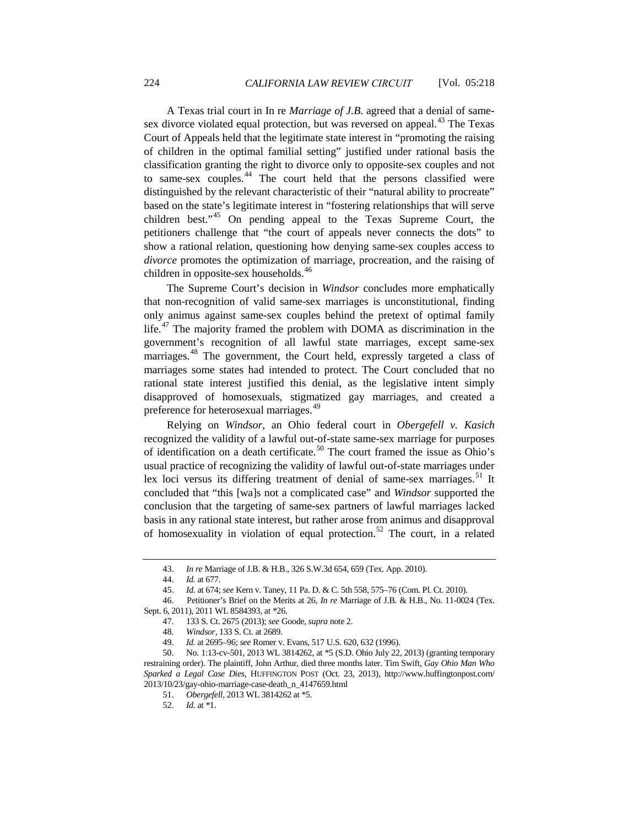A Texas trial court in In re *Marriage of J.B.* agreed that a denial of same-sex divorce violated equal protection, but was reversed on appeal.<sup>[43](#page-6-0)</sup> The Texas Court of Appeals held that the legitimate state interest in "promoting the raising of children in the optimal familial setting" justified under rational basis the classification granting the right to divorce only to opposite-sex couples and not to same-sex couples.<sup>[44](#page-6-1)</sup> The court held that the persons classified were distinguished by the relevant characteristic of their "natural ability to procreate" based on the state's legitimate interest in "fostering relationships that will serve children best."[45](#page-6-2) On pending appeal to the Texas Supreme Court, the petitioners challenge that "the court of appeals never connects the dots" to show a rational relation, questioning how denying same-sex couples access to *divorce* promotes the optimization of marriage, procreation, and the raising of children in opposite-sex households.<sup>[46](#page-6-3)</sup>

The Supreme Court's decision in *Windsor* concludes more emphatically that non-recognition of valid same-sex marriages is unconstitutional, finding only animus against same-sex couples behind the pretext of optimal family life.<sup>[47](#page-6-4)</sup> The majority framed the problem with DOMA as discrimination in the government's recognition of all lawful state marriages, except same-sex marriages.[48](#page-6-5) The government, the Court held, expressly targeted a class of marriages some states had intended to protect. The Court concluded that no rational state interest justified this denial, as the legislative intent simply disapproved of homosexuals, stigmatized gay marriages, and created a preference for heterosexual marriages.<sup>[49](#page-6-6)</sup>

Relying on *Windsor*, an Ohio federal court in *Obergefell v. Kasich* recognized the validity of a lawful out-of-state same-sex marriage for purposes of identification on a death certificate.<sup>[50](#page-6-7)</sup> The court framed the issue as Ohio's usual practice of recognizing the validity of lawful out-of-state marriages under lex loci versus its differing treatment of denial of same-sex marriages.<sup>[51](#page-6-8)</sup> It concluded that "this [wa]s not a complicated case" and *Windsor* supported the conclusion that the targeting of same-sex partners of lawful marriages lacked basis in any rational state interest, but rather arose from animus and disapproval of homosexuality in violation of equal protection.<sup>[52](#page-6-9)</sup> The court, in a related

- 51. *Obergefell,* 2013 WL 3814262 at \*5*.*
- 52. *Id.* at \*1.

<sup>43.</sup> *In re* Marriage of J.B. & H.B., 326 S.W.3d 654, 659 (Tex. App. 2010).

<sup>44.</sup> *Id.* at 677.

<sup>45.</sup> *Id.* at 674; *see* Kern v. Taney, 11 Pa. D. & C. 5th 558, 575–76 (Com. Pl. Ct. 2010).

<span id="page-6-4"></span><span id="page-6-3"></span><span id="page-6-2"></span><span id="page-6-1"></span><span id="page-6-0"></span><sup>46.</sup> Petitioner's Brief on the Merits at 26, *In re* Marriage of J.B*.* & H.B.*,* No. 11-0024 (Tex. Sept. 6, 2011), 2011 WL 8584393, at \*26.

<sup>47.</sup> 133 S. Ct. 2675 (2013); *see* Goode, *supra* not[e 2.](#page-0-0)

<sup>48.</sup> *Windsor*, 133 S. Ct. at 2689.

<sup>49.</sup> *Id.* at 2695–96; *see* Romer v. Evans, 517 U.S. 620, 632 (1996).

<span id="page-6-9"></span><span id="page-6-8"></span><span id="page-6-7"></span><span id="page-6-6"></span><span id="page-6-5"></span><sup>50.</sup> No. 1:13-cv-501, 2013 WL 3814262, at \*5 (S.D. Ohio July 22, 2013) (granting temporary restraining order). The plaintiff, John Arthur, died three months later. Tim Swift, *Gay Ohio Man Who Sparked a Legal Case Dies*, HUFFINGTON POST (Oct. 23, 2013), http://www.huffingtonpost.com/ 2013/10/23/gay-ohio-marriage-case-death\_n\_4147659.html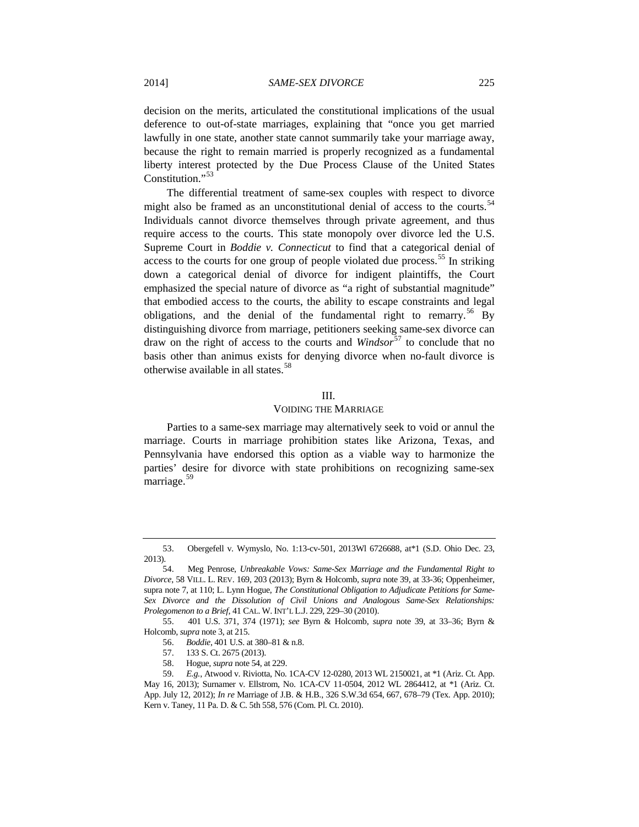decision on the merits, articulated the constitutional implications of the usual deference to out-of-state marriages, explaining that "once you get married lawfully in one state, another state cannot summarily take your marriage away, because the right to remain married is properly recognized as a fundamental liberty interest protected by the Due Process Clause of the United States Constitution."<sup>[53](#page-7-1)</sup>

The differential treatment of same-sex couples with respect to divorce might also be framed as an unconstitutional denial of access to the courts.<sup>[54](#page-7-2)</sup> Individuals cannot divorce themselves through private agreement, and thus require access to the courts. This state monopoly over divorce led the U.S. Supreme Court in *Boddie v. Connecticut* to find that a categorical denial of access to the courts for one group of people violated due process.<sup>[55](#page-7-3)</sup> In striking down a categorical denial of divorce for indigent plaintiffs, the Court emphasized the special nature of divorce as "a right of substantial magnitude" that embodied access to the courts, the ability to escape constraints and legal obligations, and the denial of the fundamental right to remarry.<sup>[56](#page-7-4)</sup> By distinguishing divorce from marriage, petitioners seeking same-sex divorce can draw on the right of access to the courts and *Windsor*[57](#page-7-5) to conclude that no basis other than animus exists for denying divorce when no-fault divorce is otherwise available in all states.<sup>[58](#page-7-6)</sup>

# <span id="page-7-0"></span>III.

#### VOIDING THE MARRIAGE

Parties to a same-sex marriage may alternatively seek to void or annul the marriage. Courts in marriage prohibition states like Arizona, Texas, and Pennsylvania have endorsed this option as a viable way to harmonize the parties' desire for divorce with state prohibitions on recognizing same-sex marriage.<sup>[59](#page-7-7)</sup>

<span id="page-7-4"></span><span id="page-7-3"></span>55. 401 U.S. 371, 374 (1971); *see* Byrn & Holcomb, *supra* note [39,](#page-5-0) at 33–36; Byrn & Holcomb, *supra* not[e 3,](#page-0-5) at 215.

- 56. *Boddie*, 401 U.S. at 380–81 & n.8.
- 57. 133 S. Ct. 2675 (2013).
- 58. Hogue, *supra* not[e 54,](#page-7-0) at 229.

<span id="page-7-1"></span><sup>53.</sup> Obergefell v. Wymyslo, No. 1:13-cv-501, 2013Wl 6726688, at\*1 (S.D. Ohio Dec. 23, 2013).

<span id="page-7-2"></span><sup>54.</sup> Meg Penrose, *Unbreakable Vows: Same-Sex Marriage and the Fundamental Right to Divorce*, 58 VILL. L. REV. 169, 203 (2013); Byrn & Holcomb, *supra* not[e 39,](#page-5-0) at 33-36; Oppenheimer, supra note 7, at 110; L. Lynn Hogue, *The Constitutional Obligation to Adjudicate Petitions for Same-Sex Divorce and the Dissolution of Civil Unions and Analogous Same-Sex Relationships: Prolegomenon to a Brief*, 41 CAL. W. INT'L L.J. 229, 229–30 (2010).

<span id="page-7-7"></span><span id="page-7-6"></span><span id="page-7-5"></span><sup>59.</sup> *E.g.*, Atwood v. Riviotta, No. 1CA-CV 12-0280, 2013 WL 2150021, at \*1 (Ariz. Ct. App. May 16, 2013); Surnamer v. Ellstrom, No. 1CA-CV 11-0504, 2012 WL 2864412, at \*1 (Ariz. Ct. App. July 12, 2012); *In re* Marriage of J.B. & H.B., 326 S.W.3d 654, 667, 678–79 (Tex. App. 2010); Kern v. Taney, 11 Pa. D. & C. 5th 558, 576 (Com. Pl. Ct. 2010).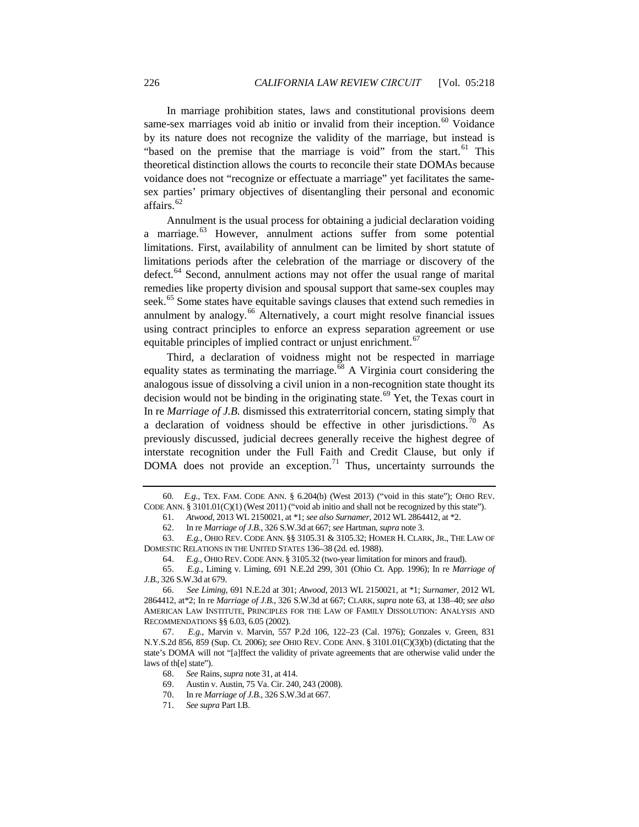In marriage prohibition states, laws and constitutional provisions deem same-sex marriages void ab initio or invalid from their inception.<sup>60</sup> Voidance by its nature does not recognize the validity of the marriage, but instead is "based on the premise that the marriage is void" from the start.<sup>[61](#page-8-2)</sup> This theoretical distinction allows the courts to reconcile their state DOMAs because voidance does not "recognize or effectuate a marriage" yet facilitates the samesex parties' primary objectives of disentangling their personal and economic affairs.<sup>[62](#page-8-3)</sup>

<span id="page-8-0"></span>Annulment is the usual process for obtaining a judicial declaration voiding a marriage.<sup>[63](#page-8-4)</sup> However, annulment actions suffer from some potential limitations. First, availability of annulment can be limited by short statute of limitations periods after the celebration of the marriage or discovery of the defect.<sup>[64](#page-8-5)</sup> Second, annulment actions may not offer the usual range of marital remedies like property division and spousal support that same-sex couples may seek.<sup>[65](#page-8-6)</sup> Some states have equitable savings clauses that extend such remedies in annulment by analogy. [66](#page-8-7) Alternatively, a court might resolve financial issues using contract principles to enforce an express separation agreement or use equitable principles of implied contract or unjust enrichment.<sup>[67](#page-8-8)</sup>

Third, a declaration of voidness might not be respected in marriage equality states as terminating the marriage. $68$  A Virginia court considering the analogous issue of dissolving a civil union in a non-recognition state thought its decision would not be binding in the originating state.<sup>[69](#page-8-10)</sup> Yet, the Texas court in In re *Marriage of J.B.* dismissed this extraterritorial concern, stating simply that a declaration of voidness should be effective in other jurisdictions.<sup>[70](#page-8-11)</sup> As previously discussed, judicial decrees generally receive the highest degree of interstate recognition under the Full Faith and Credit Clause, but only if DOMA does not provide an exception.<sup>[71](#page-8-12)</sup> Thus, uncertainty surrounds the

<span id="page-8-12"></span><span id="page-8-11"></span><span id="page-8-10"></span><span id="page-8-9"></span><span id="page-8-8"></span>67. *E.g.*, Marvin v. Marvin, 557 P.2d 106, 122–23 (Cal. 1976); Gonzales v. Green, 831 N.Y.S.2d 856, 859 (Sup. Ct. 2006); *see* OHIO REV. CODE ANN. § 3101.01(C)(3)(b) (dictating that the state's DOMA will not "[a]ffect the validity of private agreements that are otherwise valid under the laws of th[e] state").

<span id="page-8-2"></span><span id="page-8-1"></span><sup>60</sup>*. E.g.*, TEX. FAM. CODE ANN. § 6.204(b) (West 2013) ("void in this state"); OHIO REV. CODE ANN. § 3101.01(C)(1) (West 2011) ("void ab initio and shall not be recognized by this state").

<sup>61.</sup> *Atwood*, 2013 WL 2150021, at \*1; *see also Surnamer*, 2012 WL 2864412, at \*2.

<sup>62.</sup> In re *Marriage of J.B*., 326 S.W.3d at 667; *see* Hartman, *supra* not[e 3.](#page-0-5) 

<span id="page-8-4"></span><span id="page-8-3"></span><sup>63.</sup> *E.g.*, OHIO REV. CODE ANN. §§ 3105.31 & 3105.32; HOMER H. CLARK, JR., THE LAW OF DOMESTIC RELATIONS IN THE UNITED STATES 136–38 (2d. ed. 1988).

<sup>64.</sup> *E.g.,* OHIO REV. CODE ANN. § 3105.32 (two-year limitation for minors and fraud).

<span id="page-8-6"></span><span id="page-8-5"></span><sup>65.</sup> *E.g.*, Liming v. Liming, 691 N.E.2d 299, 301 (Ohio Ct. App. 1996); In re *Marriage of J.B*., 326 S.W.3d at 679.

<span id="page-8-7"></span><sup>66.</sup> *See Liming*, 691 N.E.2d at 301; *Atwood*, 2013 WL 2150021, at \*1; *Surnamer,* 2012 WL 2864412, at\*2; In re *Marriage of J.B*., 326 S.W.3d at 667; CLARK, *supra* not[e 63,](#page-8-0) at 138–40; *see also* AMERICAN LAW INSTITUTE, PRINCIPLES FOR THE LAW OF FAMILY DISSOLUTION: ANALYSIS AND RECOMMENDATIONS §§ 6.03, 6.05 (2002).

<sup>68.</sup> *See* Rains, *supra* not[e 31,](#page-4-11) at 414.

<sup>69.</sup> Austin v. Austin, 75 Va. Cir. 240, 243 (2008).

<sup>70.</sup> In re *Marriage of J.B*., 326 S.W.3d at 667.

<sup>71.</sup> *See supra* Part I.B.